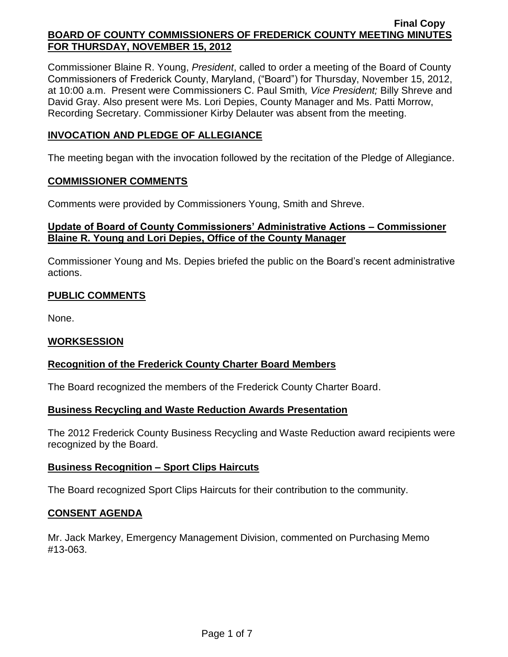Commissioner Blaine R. Young, *President*, called to order a meeting of the Board of County Commissioners of Frederick County, Maryland, ("Board") for Thursday, November 15, 2012, at 10:00 a.m. Present were Commissioners C. Paul Smith*, Vice President;* Billy Shreve and David Gray. Also present were Ms. Lori Depies, County Manager and Ms. Patti Morrow, Recording Secretary. Commissioner Kirby Delauter was absent from the meeting.

# **INVOCATION AND PLEDGE OF ALLEGIANCE**

The meeting began with the invocation followed by the recitation of the Pledge of Allegiance.

#### **COMMISSIONER COMMENTS**

Comments were provided by Commissioners Young, Smith and Shreve.

# **Update of Board of County Commissioners' Administrative Actions – Commissioner Blaine R. Young and Lori Depies, Office of the County Manager**

Commissioner Young and Ms. Depies briefed the public on the Board's recent administrative actions.

# **PUBLIC COMMENTS**

None.

## **WORKSESSION**

## **Recognition of the Frederick County Charter Board Members**

The Board recognized the members of the Frederick County Charter Board.

## **Business Recycling and Waste Reduction Awards Presentation**

The 2012 Frederick County Business Recycling and Waste Reduction award recipients were recognized by the Board.

## **Business Recognition – Sport Clips Haircuts**

The Board recognized Sport Clips Haircuts for their contribution to the community.

## **CONSENT AGENDA**

Mr. Jack Markey, Emergency Management Division, commented on Purchasing Memo #13-063.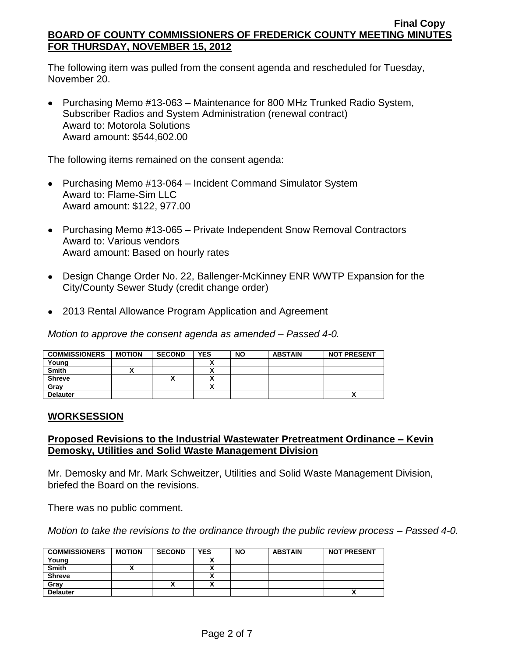The following item was pulled from the consent agenda and rescheduled for Tuesday, November 20.

Purchasing Memo #13-063 – Maintenance for 800 MHz Trunked Radio System, Subscriber Radios and System Administration (renewal contract) Award to: Motorola Solutions Award amount: \$544,602.00

The following items remained on the consent agenda:

- Purchasing Memo #13-064 Incident Command Simulator System Award to: Flame-Sim LLC Award amount: \$122, 977.00
- Purchasing Memo #13-065 Private Independent Snow Removal Contractors Award to: Various vendors Award amount: Based on hourly rates
- Design Change Order No. 22, Ballenger-McKinney ENR WWTP Expansion for the City/County Sewer Study (credit change order)
- 2013 Rental Allowance Program Application and Agreement

*Motion to approve the consent agenda as amended – Passed 4-0.*

| <b>COMMISSIONERS</b> | <b>MOTION</b> | <b>SECOND</b>            | <b>YES</b> | <b>NO</b> | <b>ABSTAIN</b> | <b>NOT PRESENT</b> |
|----------------------|---------------|--------------------------|------------|-----------|----------------|--------------------|
| Young                |               |                          |            |           |                |                    |
| <b>Smith</b>         |               |                          |            |           |                |                    |
| <b>Shreve</b>        |               | $\overline{\phantom{a}}$ |            |           |                |                    |
| Grav                 |               |                          |            |           |                |                    |
| <b>Delauter</b>      |               |                          |            |           |                |                    |

## **WORKSESSION**

# **Proposed Revisions to the Industrial Wastewater Pretreatment Ordinance – Kevin Demosky, Utilities and Solid Waste Management Division**

Mr. Demosky and Mr. Mark Schweitzer, Utilities and Solid Waste Management Division, briefed the Board on the revisions.

There was no public comment.

*Motion to take the revisions to the ordinance through the public review process – Passed 4-0.*

| <b>COMMISSIONERS</b> | <b>MOTION</b> | <b>SECOND</b> | YES | <b>NO</b> | <b>ABSTAIN</b> | <b>NOT PRESENT</b> |
|----------------------|---------------|---------------|-----|-----------|----------------|--------------------|
| Young                |               |               |     |           |                |                    |
| <b>Smith</b>         |               |               |     |           |                |                    |
| <b>Shreve</b>        |               |               | ~   |           |                |                    |
| Gray                 |               |               |     |           |                |                    |
| <b>Delauter</b>      |               |               |     |           |                | Λ                  |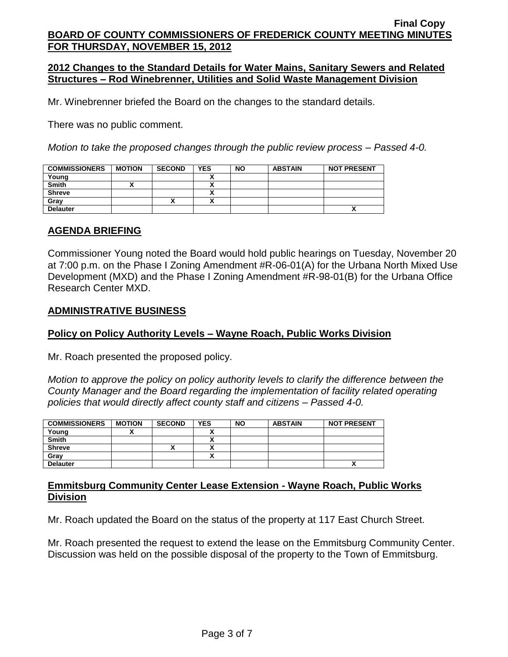## **2012 Changes to the Standard Details for Water Mains, Sanitary Sewers and Related Structures – Rod Winebrenner, Utilities and Solid Waste Management Division**

Mr. Winebrenner briefed the Board on the changes to the standard details.

There was no public comment.

*Motion to take the proposed changes through the public review process – Passed 4-0.*

| <b>COMMISSIONERS</b> | <b>MOTION</b> | <b>SECOND</b> | <b>YES</b>           | <b>NO</b> | <b>ABSTAIN</b> | <b>NOT PRESENT</b> |
|----------------------|---------------|---------------|----------------------|-----------|----------------|--------------------|
| Young                |               |               |                      |           |                |                    |
| <b>Smith</b>         |               |               |                      |           |                |                    |
| <b>Shreve</b>        |               |               | $\ddot{\phantom{0}}$ |           |                |                    |
| Gray                 |               | "             |                      |           |                |                    |
| <b>Delauter</b>      |               |               |                      |           |                | ^                  |

#### **AGENDA BRIEFING**

Commissioner Young noted the Board would hold public hearings on Tuesday, November 20 at 7:00 p.m. on the Phase I Zoning Amendment #R-06-01(A) for the Urbana North Mixed Use Development (MXD) and the Phase I Zoning Amendment #R-98-01(B) for the Urbana Office Research Center MXD.

#### **ADMINISTRATIVE BUSINESS**

#### **Policy on Policy Authority Levels – Wayne Roach, Public Works Division**

Mr. Roach presented the proposed policy.

*Motion to approve the policy on policy authority levels to clarify the difference between the County Manager and the Board regarding the implementation of facility related operating policies that would directly affect county staff and citizens – Passed 4-0.*

| <b>COMMISSIONERS</b> | <b>MOTION</b> | <b>SECOND</b> | <b>YES</b> | <b>NO</b> | <b>ABSTAIN</b> | <b>NOT PRESENT</b> |
|----------------------|---------------|---------------|------------|-----------|----------------|--------------------|
| Young                |               |               |            |           |                |                    |
| <b>Smith</b>         |               |               |            |           |                |                    |
| <b>Shreve</b>        |               | "             |            |           |                |                    |
| Grav                 |               |               | ~          |           |                |                    |
| <b>Delauter</b>      |               |               |            |           |                | ~                  |

## **Emmitsburg Community Center Lease Extension - Wayne Roach, Public Works Division**

Mr. Roach updated the Board on the status of the property at 117 East Church Street.

Mr. Roach presented the request to extend the lease on the Emmitsburg Community Center. Discussion was held on the possible disposal of the property to the Town of Emmitsburg.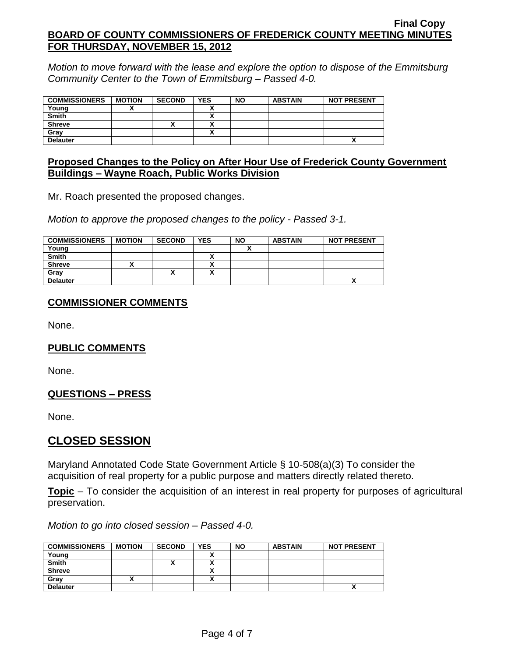*Motion to move forward with the lease and explore the option to dispose of the Emmitsburg Community Center to the Town of Emmitsburg – Passed 4-0.*

| <b>COMMISSIONERS</b> | <b>MOTION</b> | <b>SECOND</b> | <b>YES</b> | <b>NO</b> | <b>ABSTAIN</b> | <b>NOT PRESENT</b> |
|----------------------|---------------|---------------|------------|-----------|----------------|--------------------|
|                      |               |               |            |           |                |                    |
| Young                |               |               |            |           |                |                    |
| <b>Smith</b>         |               |               |            |           |                |                    |
| <b>Shreve</b>        |               | ↗             |            |           |                |                    |
| Grav                 |               |               |            |           |                |                    |
| <b>Delauter</b>      |               |               |            |           |                | ^                  |

## **Proposed Changes to the Policy on After Hour Use of Frederick County Government Buildings – Wayne Roach, Public Works Division**

Mr. Roach presented the proposed changes.

*Motion to approve the proposed changes to the policy - Passed 3-1.*

| <b>COMMISSIONERS</b> | <b>MOTION</b> | <b>SECOND</b> | <b>YES</b> | <b>NO</b> | <b>ABSTAIN</b> | <b>NOT PRESENT</b> |
|----------------------|---------------|---------------|------------|-----------|----------------|--------------------|
| Young                |               |               |            |           |                |                    |
| <b>Smith</b>         |               |               |            |           |                |                    |
| <b>Shreve</b>        |               |               | ~          |           |                |                    |
| Gray                 |               |               |            |           |                |                    |
| <b>Delauter</b>      |               |               |            |           |                | ↗                  |

## **COMMISSIONER COMMENTS**

None.

# **PUBLIC COMMENTS**

None.

## **QUESTIONS – PRESS**

None.

# **CLOSED SESSION**

Maryland Annotated Code State Government Article § 10-508(a)(3) To consider the acquisition of real property for a public purpose and matters directly related thereto.

**Topic** – To consider the acquisition of an interest in real property for purposes of agricultural preservation.

*Motion to go into closed session – Passed 4-0.*

| <b>COMMISSIONERS</b> | <b>MOTION</b> | <b>SECOND</b> | <b>YES</b>               | <b>NO</b> | <b>ABSTAIN</b> | <b>NOT PRESENT</b> |
|----------------------|---------------|---------------|--------------------------|-----------|----------------|--------------------|
| Young                |               |               |                          |           |                |                    |
| <b>Smith</b>         |               |               |                          |           |                |                    |
| <b>Shreve</b>        |               |               | $\overline{\phantom{a}}$ |           |                |                    |
| Grav                 |               |               |                          |           |                |                    |
| <b>Delauter</b>      |               |               |                          |           |                | ^                  |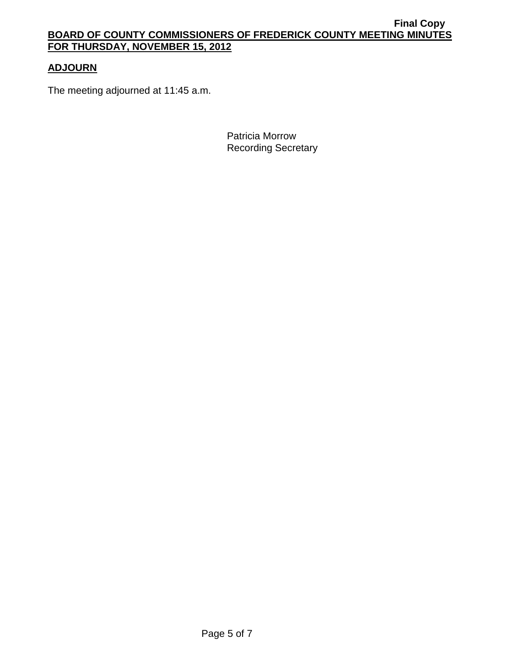# **ADJOURN**

The meeting adjourned at 11:45 a.m.

Patricia Morrow Recording Secretary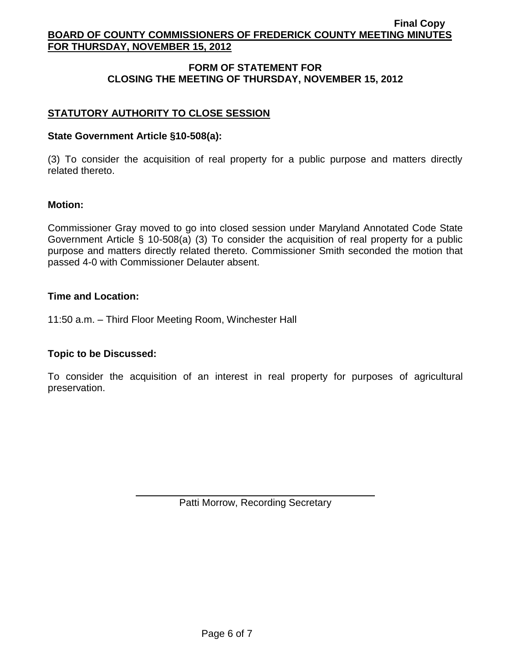# **FORM OF STATEMENT FOR CLOSING THE MEETING OF THURSDAY, NOVEMBER 15, 2012**

# **STATUTORY AUTHORITY TO CLOSE SESSION**

#### **State Government Article §10-508(a):**

(3) To consider the acquisition of real property for a public purpose and matters directly related thereto.

#### **Motion:**

Commissioner Gray moved to go into closed session under Maryland Annotated Code State Government Article § 10-508(a) (3) To consider the acquisition of real property for a public purpose and matters directly related thereto. Commissioner Smith seconded the motion that passed 4-0 with Commissioner Delauter absent.

#### **Time and Location:**

11:50 a.m. – Third Floor Meeting Room, Winchester Hall

## **Topic to be Discussed:**

To consider the acquisition of an interest in real property for purposes of agricultural preservation.

Patti Morrow, Recording Secretary